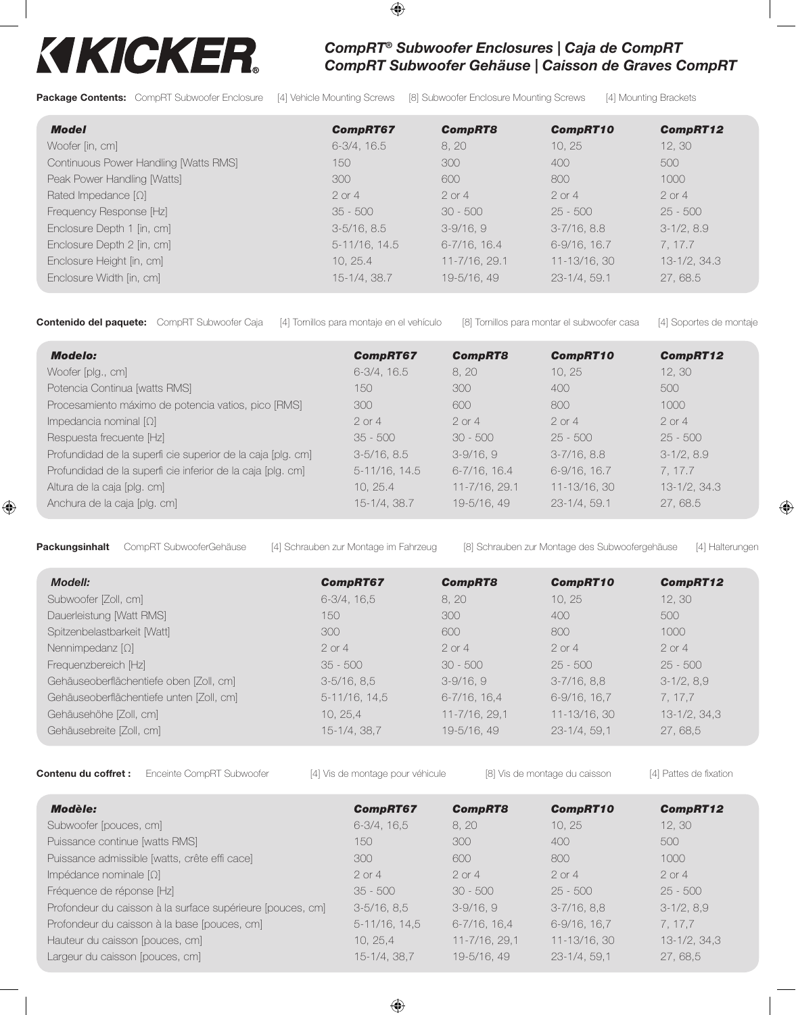## KIKICKER.

## *CompRT® Subwoofer Enclosures | Caja de CompRT CompRT Subwoofer Gehäuse | Caisson de Graves CompRT*

Package Contents: CompRT Subwoofer Enclosure [4] Vehicle Mounting Screws [8] Subwoofer Enclosure Mounting Screws [4] Mounting Brackets

| <b>Model</b>                          | <b>CompRT67</b>  | <b>CompRT8</b>    | <b>CompRT10</b>  | <b>CompRT12</b> |
|---------------------------------------|------------------|-------------------|------------------|-----------------|
| Woofer [in, cm]                       | $6-3/4$ , $16.5$ | 8, 20             | 10, 25           | 12, 30          |
| Continuous Power Handling [Watts RMS] | 150              | 300               | 400              | 500             |
| Peak Power Handling [Watts]           | 300              | 600               | 800              | 1000            |
| Rated Impedance $[\Omega]$            | $2$ or $4$       | $2$ or $4$        | $2$ or $4$       | $2$ or $4$      |
| Frequency Response [Hz]               | $35 - 500$       | $30 - 500$        | $25 - 500$       | $25 - 500$      |
| Enclosure Depth 1 [in, cm]            | $3-5/16$ , 8.5   | $3-9/16, 9$       | $3 - 7/16$ , 8.8 | $3-1/2, 8.9$    |
| Enclosure Depth 2 [in, cm]            | 5-11/16, 14.5    | $6 - 7/16$ , 16.4 | 6-9/16, 16.7     | 7.17.7          |
| Enclosure Height [in, cm]             | 10.25.4          | 11-7/16, 29.1     | 11-13/16, 30     | 13-1/2, 34.3    |
| Enclosure Width [in, cm]              | 15-1/4, 38.7     | 19-5/16, 49       | 23-1/4, 59.1     | 27,68.5         |

 $\bigoplus$ 

Contenido del paquete: CompRT Subwoofer Caja [4] Tornillos para montaje en el vehículo [8] Tornillos para montar el subwoofer casa [4] Soportes de montaje

| <b>Modelo:</b>                                              | <b>CompRT67</b>  | <b>CompRT8</b>    | <b>CompRT10</b> | CompRT12            |
|-------------------------------------------------------------|------------------|-------------------|-----------------|---------------------|
| Woofer [plg., cm]                                           | $6-3/4$ , $16.5$ | 8, 20             | 10, 25          | 12, 30              |
| Potencia Continua [watts RMS]                               | 150.             | 300               | 400             | 500                 |
| Procesamiento máximo de potencia vatios, pico [RMS]         | 300              | 600               | 800             | 1000                |
| Impedancia nominal $[\Omega]$                               | $2$ or $4$       | $2$ or 4          | $2$ or 4        | $2$ or 4            |
| Respuesta frecuente [Hz]                                    | $35 - 500$       | $30 - 500$        | $25 - 500$      | $25 - 500$          |
| Profundidad de la superfi cie superior de la caja [plg. cm] | $3-5/16$ , 8.5   | $3-9/16, 9$       | $3-7/16$ , 8.8  | $3-1/2, 8.9$        |
| Profundidad de la superfi cie inferior de la caja [plg. cm] | 5-11/16, 14.5    | $6 - 7/16$ , 16.4 | $6-9/16$ , 16.7 | 7.17.7              |
| Altura de la caja [plg. cm]                                 | 10.25.4          | 11-7/16, 29.1     | 11-13/16, 30    | $13 - 1/2$ , $34.3$ |
| Anchura de la caja [plg. cm]                                | 15-1/4, 38.7     | 19-5/16, 49       | $23-1/4, 59.1$  | 27,68.5             |

 $\bigoplus$ 

Packungsinhalt CompRT SubwooferGehäuse [4] Schrauben zur Montage im Fahrzeug [8] Schrauben zur Montage des Subwoofergehäuse [4] Halterungen

⊕

| <b>Modell:</b>                           | <b>CompRT67</b>  | <b>CompRT8</b>     | <b>CompRT10</b>   | CompRT12        |
|------------------------------------------|------------------|--------------------|-------------------|-----------------|
| Subwoofer [Zoll, cm]                     | $6-3/4$ , $16.5$ | 8, 20              | 10.25             | 12, 30          |
| Dauerleistung [Watt RMS]                 | 150              | 300                | 400               | 500             |
| Spitzenbelastbarkeit [Watt]              | 300              | 600                | 800               | 1000            |
| Nennimpedanz $[\Omega]$                  | $2$ or 4         | $2$ or 4           | $2$ or 4          | $2$ or 4        |
| Frequenzbereich [Hz]                     | $35 - 500$       | $30 - 500$         | $25 - 500$        | $25 - 500$      |
| Gehäuseoberflächentiefe oben [Zoll, cm]  | $3-5/16$ , $8,5$ | $3-9/16.9$         | $3 - 7/16$ , 8,8  | $3-1/2, 8.9$    |
| Gehäuseoberflächentiefe unten [Zoll, cm] | $5-11/16$ , 14,5 | $6 - 7/16$ , 16, 4 | $6-9/16$ , $16.7$ | 7, 17, 7        |
| Gehäusehöhe [Zoll, cm]                   | 10.25.4          | 11-7/16, 29,1      | 11-13/16, 30      | $13-1/2, 34, 3$ |
| Gehäusebreite [Zoll, cm]                 | 15-1/4, 38,7     | 19-5/16, 49        | $23-1/4, 59, 1$   | 27,68,5         |

Contenu du coffret : Enceinte CompRT Subwoofer [4] Vis de montage pour véhicule [8] Vis de montage du caisson [4] Pattes de fixation

| Modèle:                                                    | <b>CompRT67</b>  | <b>CompRT8</b>     | <b>CompRT10</b>   | <b>CompRT12</b> |
|------------------------------------------------------------|------------------|--------------------|-------------------|-----------------|
| Subwoofer [pouces, cm]                                     | $6-3/4, 16.5$    | 8, 20              | 10, 25            | 12, 30          |
| Puissance continue [watts RMS]                             | 150              | 300                | 400               | 500             |
| Puissance admissible [watts, crête effi cace]              | 300              | 600                | 800               | 1000            |
| Impédance nominale $[\Omega]$                              | $2$ or $4$       | $2$ or 4           | $2$ or 4          | $2$ or $4$      |
| Fréquence de réponse [Hz]                                  | $35 - 500$       | $30 - 500$         | $25 - 500$        | $25 - 500$      |
| Profondeur du caisson à la surface supérieure [pouces, cm] | $3-5/16$ , $8.5$ | $3-9/16, 9$        | $3-7/16, 8,8$     | $3-1/2, 8.9$    |
| Profondeur du caisson à la base [pouces, cm]               | $5-11/16$ , 14,5 | $6 - 7/16$ , 16,4  | $6-9/16$ , $16.7$ | 7, 17, 7        |
| Hauteur du caisson [pouces, cm]                            | 10, 25.4         | $11 - 7/16$ , 29,1 | 11-13/16, 30      | $13-1/2, 34, 3$ |
| Largeur du caisson (pouces, cm)                            | 15-1/4, 38,7     | 19-5/16, 49        | $23 - 1/4$ , 59.1 | 27,68,5         |

 $\bigoplus$